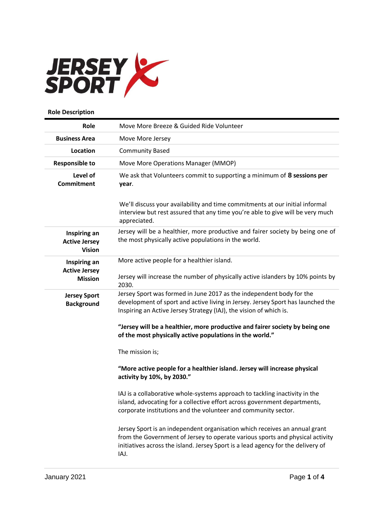

## **Role Description**

| Role                                                   | Move More Breeze & Guided Ride Volunteer                                                                                                                                                                                                                |
|--------------------------------------------------------|---------------------------------------------------------------------------------------------------------------------------------------------------------------------------------------------------------------------------------------------------------|
| <b>Business Area</b>                                   | Move More Jersey                                                                                                                                                                                                                                        |
| Location                                               | <b>Community Based</b>                                                                                                                                                                                                                                  |
| <b>Responsible to</b>                                  | Move More Operations Manager (MMOP)                                                                                                                                                                                                                     |
| Level of<br><b>Commitment</b>                          | We ask that Volunteers commit to supporting a minimum of 8 sessions per<br>year.                                                                                                                                                                        |
|                                                        | We'll discuss your availability and time commitments at our initial informal<br>interview but rest assured that any time you're able to give will be very much<br>appreciated.                                                                          |
| Inspiring an<br><b>Active Jersey</b><br><b>Vision</b>  | Jersey will be a healthier, more productive and fairer society by being one of<br>the most physically active populations in the world.                                                                                                                  |
| Inspiring an<br><b>Active Jersey</b><br><b>Mission</b> | More active people for a healthier island.<br>Jersey will increase the number of physically active islanders by 10% points by<br>2030.                                                                                                                  |
| <b>Jersey Sport</b><br><b>Background</b>               | Jersey Sport was formed in June 2017 as the independent body for the<br>development of sport and active living in Jersey. Jersey Sport has launched the<br>Inspiring an Active Jersey Strategy (IAJ), the vision of which is.                           |
|                                                        | "Jersey will be a healthier, more productive and fairer society by being one<br>of the most physically active populations in the world."                                                                                                                |
|                                                        | The mission is;                                                                                                                                                                                                                                         |
|                                                        | "More active people for a healthier island. Jersey will increase physical<br>activity by 10%, by 2030."                                                                                                                                                 |
|                                                        | IAJ is a collaborative whole-systems approach to tackling inactivity in the<br>island, advocating for a collective effort across government departments,<br>corporate institutions and the volunteer and community sector.                              |
|                                                        | Jersey Sport is an independent organisation which receives an annual grant<br>from the Government of Jersey to operate various sports and physical activity<br>initiatives across the island. Jersey Sport is a lead agency for the delivery of<br>IAJ. |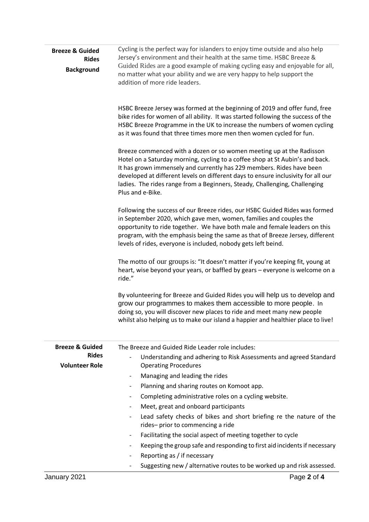| <b>Breeze &amp; Guided</b><br><b>Rides</b><br><b>Background</b> | Cycling is the perfect way for islanders to enjoy time outside and also help<br>Jersey's environment and their health at the same time. HSBC Breeze &<br>Guided Rides are a good example of making cycling easy and enjoyable for all,<br>no matter what your ability and we are very happy to help support the<br>addition of more ride leaders.                                                                     |  |  |
|-----------------------------------------------------------------|-----------------------------------------------------------------------------------------------------------------------------------------------------------------------------------------------------------------------------------------------------------------------------------------------------------------------------------------------------------------------------------------------------------------------|--|--|
|                                                                 | HSBC Breeze Jersey was formed at the beginning of 2019 and offer fund, free<br>bike rides for women of all ability. It was started following the success of the<br>HSBC Breeze Programme in the UK to increase the numbers of women cycling<br>as it was found that three times more men then women cycled for fun.                                                                                                   |  |  |
|                                                                 | Breeze commenced with a dozen or so women meeting up at the Radisson<br>Hotel on a Saturday morning, cycling to a coffee shop at St Aubin's and back.<br>It has grown immensely and currently has 229 members. Rides have been<br>developed at different levels on different days to ensure inclusivity for all our<br>ladies. The rides range from a Beginners, Steady, Challenging, Challenging<br>Plus and e-Bike. |  |  |
|                                                                 | Following the success of our Breeze rides, our HSBC Guided Rides was formed<br>in September 2020, which gave men, women, families and couples the<br>opportunity to ride together. We have both male and female leaders on this<br>program, with the emphasis being the same as that of Breeze Jersey, different<br>levels of rides, everyone is included, nobody gets left beind.                                    |  |  |
|                                                                 | The motto of our groups is: "It doesn't matter if you're keeping fit, young at<br>heart, wise beyond your years, or baffled by gears - everyone is welcome on a<br>ride."                                                                                                                                                                                                                                             |  |  |
|                                                                 | By volunteering for Breeze and Guided Rides you will help us to develop and<br>grow our programmes to makes them accessible to more people. In<br>doing so, you will discover new places to ride and meet many new people<br>whilst also helping us to make our island a happier and healthier place to live!                                                                                                         |  |  |
| <b>Breeze &amp; Guided</b>                                      | The Breeze and Guided Ride Leader role includes:                                                                                                                                                                                                                                                                                                                                                                      |  |  |
| <b>Rides</b><br><b>Volunteer Role</b>                           | Understanding and adhering to Risk Assessments and agreed Standard<br><b>Operating Procedures</b>                                                                                                                                                                                                                                                                                                                     |  |  |
|                                                                 | Managing and leading the rides<br>$\overline{\phantom{a}}$                                                                                                                                                                                                                                                                                                                                                            |  |  |
|                                                                 | Planning and sharing routes on Komoot app.<br>$\overline{\phantom{a}}$                                                                                                                                                                                                                                                                                                                                                |  |  |
|                                                                 | Completing administrative roles on a cycling website.<br>$\overline{\phantom{a}}$                                                                                                                                                                                                                                                                                                                                     |  |  |
|                                                                 | Meet, great and onboard participants<br>$\overline{\phantom{a}}$                                                                                                                                                                                                                                                                                                                                                      |  |  |
|                                                                 | Lead safety checks of bikes and short briefing re the nature of the<br>rides-prior to commencing a ride                                                                                                                                                                                                                                                                                                               |  |  |
|                                                                 | Facilitating the social aspect of meeting together to cycle<br>$\overline{\phantom{a}}$                                                                                                                                                                                                                                                                                                                               |  |  |
|                                                                 | Keeping the group safe and responding to first aid incidents if necessary<br>$\overline{\phantom{a}}$                                                                                                                                                                                                                                                                                                                 |  |  |
|                                                                 | Reporting as / if necessary<br>$\overline{\phantom{a}}$                                                                                                                                                                                                                                                                                                                                                               |  |  |
|                                                                 | Suggesting new / alternative routes to be worked up and risk assessed.                                                                                                                                                                                                                                                                                                                                                |  |  |
| January 2021                                                    | Page 2 of 4                                                                                                                                                                                                                                                                                                                                                                                                           |  |  |